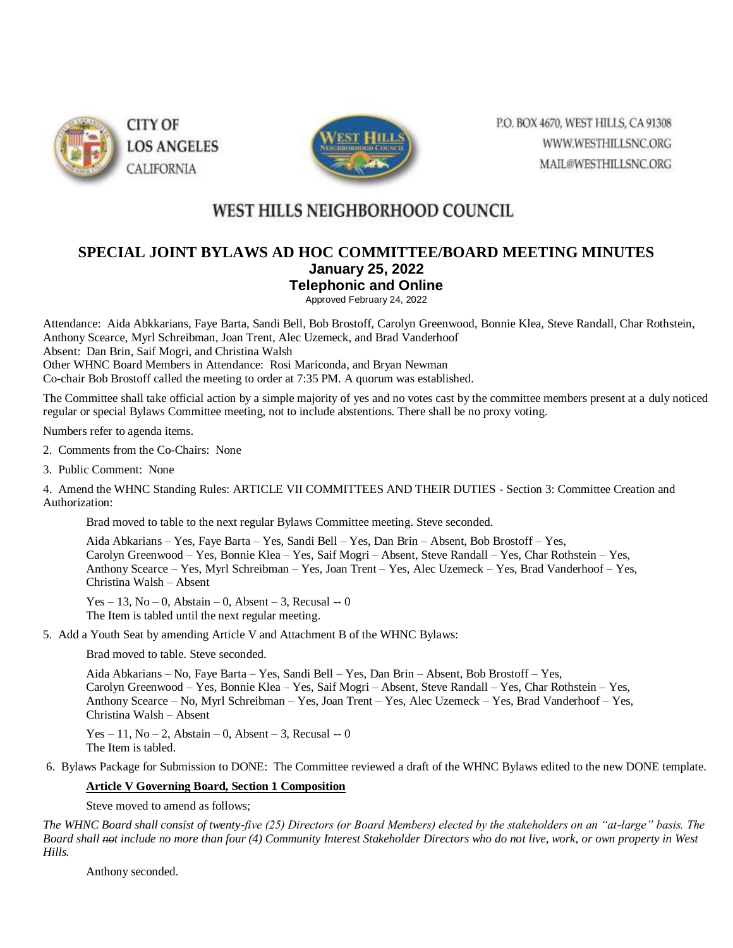



P.O. BOX 4670, WEST HILLS, CA 91308 WWW.WESTHILLSNC.ORG MAIL@WESTHILLSNC.ORG

# WEST HILLS NEIGHBORHOOD COUNCIL

## **SPECIAL JOINT BYLAWS AD HOC COMMITTEE/BOARD MEETING MINUTES January 25, 2022 Telephonic and Online**

Approved February 24, 2022

Attendance: Aida Abkkarians, Faye Barta, Sandi Bell, Bob Brostoff, Carolyn Greenwood, Bonnie Klea, Steve Randall, Char Rothstein, Anthony Scearce, Myrl Schreibman, Joan Trent, Alec Uzemeck, and Brad Vanderhoof Absent: Dan Brin, Saif Mogri, and Christina Walsh Other WHNC Board Members in Attendance: Rosi Mariconda, and Bryan Newman Co-chair Bob Brostoff called the meeting to order at 7:35 PM. A quorum was established.

The Committee shall take official action by a simple majority of yes and no votes cast by the committee members present at a duly noticed regular or special Bylaws Committee meeting, not to include abstentions. There shall be no proxy voting.

Numbers refer to agenda items.

2. Comments from the Co-Chairs: None

3. Public Comment: None

4. Amend the WHNC Standing Rules: ARTICLE VII COMMITTEES AND THEIR DUTIES - Section 3: Committee Creation and Authorization:

Brad moved to table to the next regular Bylaws Committee meeting. Steve seconded.

Aida Abkarians – Yes, Faye Barta – Yes, Sandi Bell – Yes, Dan Brin – Absent, Bob Brostoff – Yes, Carolyn Greenwood – Yes, Bonnie Klea – Yes, Saif Mogri – Absent, Steve Randall – Yes, Char Rothstein – Yes, Anthony Scearce – Yes, Myrl Schreibman – Yes, Joan Trent – Yes, Alec Uzemeck – Yes, Brad Vanderhoof – Yes, Christina Walsh – Absent

Yes – 13, No – 0, Abstain – 0, Absent – 3, Recusal -- 0 The Item is tabled until the next regular meeting.

5. Add a Youth Seat by amending Article V and Attachment B of the WHNC Bylaws:

Brad moved to table. Steve seconded.

Aida Abkarians – No, Faye Barta – Yes, Sandi Bell – Yes, Dan Brin – Absent, Bob Brostoff – Yes, Carolyn Greenwood – Yes, Bonnie Klea – Yes, Saif Mogri – Absent, Steve Randall – Yes, Char Rothstein – Yes, Anthony Scearce – No, Myrl Schreibman – Yes, Joan Trent – Yes, Alec Uzemeck – Yes, Brad Vanderhoof – Yes, Christina Walsh – Absent

Yes – 11, No – 2, Abstain – 0, Absent – 3, Recusal -- 0 The Item is tabled.

6. Bylaws Package for Submission to DONE: The Committee reviewed a draft of the WHNC Bylaws edited to the new DONE template.

## **Article V Governing Board, Section 1 Composition**

Steve moved to amend as follows;

*The WHNC Board shall consist of twenty-five (25) Directors (or Board Members) elected by the stakeholders on an "at-large" basis. The Board shall not include no more than four (4) Community Interest Stakeholder Directors who do not live, work, or own property in West Hills.*

Anthony seconded.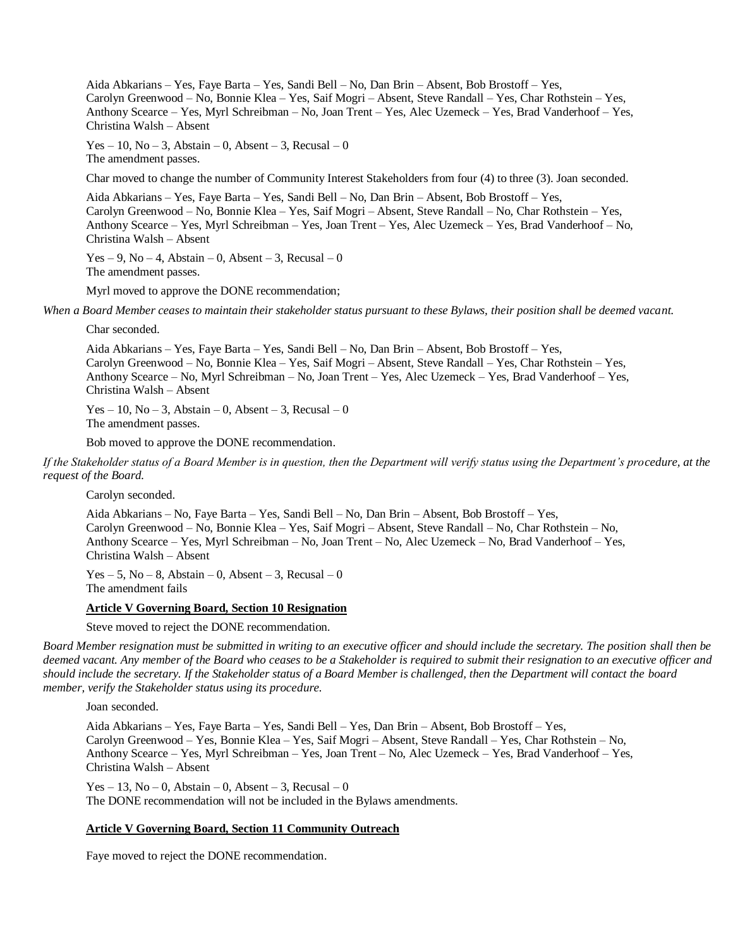Aida Abkarians – Yes, Faye Barta – Yes, Sandi Bell – No, Dan Brin – Absent, Bob Brostoff – Yes, Carolyn Greenwood – No, Bonnie Klea – Yes, Saif Mogri – Absent, Steve Randall – Yes, Char Rothstein – Yes, Anthony Scearce – Yes, Myrl Schreibman – No, Joan Trent – Yes, Alec Uzemeck – Yes, Brad Vanderhoof – Yes, Christina Walsh – Absent

Yes – 10, No – 3, Abstain – 0, Absent – 3, Recusal – 0 The amendment passes.

Char moved to change the number of Community Interest Stakeholders from four (4) to three (3). Joan seconded.

Aida Abkarians – Yes, Faye Barta – Yes, Sandi Bell – No, Dan Brin – Absent, Bob Brostoff – Yes, Carolyn Greenwood – No, Bonnie Klea – Yes, Saif Mogri – Absent, Steve Randall – No, Char Rothstein – Yes, Anthony Scearce – Yes, Myrl Schreibman – Yes, Joan Trent – Yes, Alec Uzemeck – Yes, Brad Vanderhoof – No, Christina Walsh – Absent

 $Yes - 9, No - 4, Abstain - 0, Absent - 3, Recusal - 0$ The amendment passes.

Myrl moved to approve the DONE recommendation;

*When a Board Member ceases to maintain their stakeholder status pursuant to these Bylaws, their position shall be deemed vacant.*

Char seconded.

Aida Abkarians – Yes, Faye Barta – Yes, Sandi Bell – No, Dan Brin – Absent, Bob Brostoff – Yes, Carolyn Greenwood – No, Bonnie Klea – Yes, Saif Mogri – Absent, Steve Randall – Yes, Char Rothstein – Yes, Anthony Scearce – No, Myrl Schreibman – No, Joan Trent – Yes, Alec Uzemeck – Yes, Brad Vanderhoof – Yes, Christina Walsh – Absent

 $Yes - 10$ ,  $No - 3$ , Abstain – 0, Absent – 3, Recusal – 0 The amendment passes.

Bob moved to approve the DONE recommendation.

*If the Stakeholder status of a Board Member is in question, then the Department will verify status using the Department's procedure, at the request of the Board.*

Carolyn seconded.

Aida Abkarians – No, Faye Barta – Yes, Sandi Bell – No, Dan Brin – Absent, Bob Brostoff – Yes, Carolyn Greenwood – No, Bonnie Klea – Yes, Saif Mogri – Absent, Steve Randall – No, Char Rothstein – No, Anthony Scearce – Yes, Myrl Schreibman – No, Joan Trent – No, Alec Uzemeck – No, Brad Vanderhoof – Yes, Christina Walsh – Absent

 $Yes - 5$ ,  $No - 8$ , Abstain – 0, Absent – 3, Recusal – 0 The amendment fails

#### **Article V Governing Board, Section 10 Resignation**

Steve moved to reject the DONE recommendation.

*Board Member resignation must be submitted in writing to an executive officer and should include the secretary. The position shall then be deemed vacant. Any member of the Board who ceases to be a Stakeholder is required to submit their resignation to an executive officer and should include the secretary. If the Stakeholder status of a Board Member is challenged, then the Department will contact the board member, verify the Stakeholder status using its procedure.*

Joan seconded.

Aida Abkarians – Yes, Faye Barta – Yes, Sandi Bell – Yes, Dan Brin – Absent, Bob Brostoff – Yes, Carolyn Greenwood – Yes, Bonnie Klea – Yes, Saif Mogri – Absent, Steve Randall – Yes, Char Rothstein – No, Anthony Scearce – Yes, Myrl Schreibman – Yes, Joan Trent – No, Alec Uzemeck – Yes, Brad Vanderhoof – Yes, Christina Walsh – Absent

 $Yes - 13$ ,  $No - 0$ , Abstain – 0, Absent – 3, Recusal – 0 The DONE recommendation will not be included in the Bylaws amendments.

## **Article V Governing Board, Section 11 Community Outreach**

Faye moved to reject the DONE recommendation.